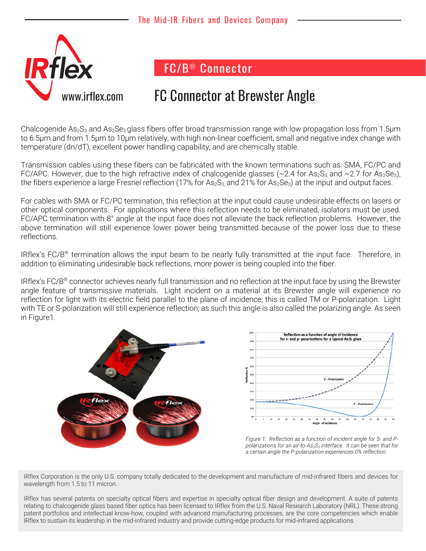

FC/B® Connector

## vw.irflex.com FC Connector at Brewster Angle

Chalcogenide As<sub>2</sub>S<sub>3</sub> and As<sub>2</sub>Se<sub>3</sub> glass fibers offer broad transmission range with low propagation loss from 1.5 µm to 6.5μm and from 1.5μm to 10μm relatively, with high non-linear coefficient, small and negative index change with temperature (dn/dT), excellent power handling capability, and are chemically stable.

Transmission cables using these fibers can be fabricated with the known terminations such as: SMA, FC/PC and FC/APC. However, due to the high refractive index of chalcogenide glasses (~2.4 for As<sub>2</sub>S<sub>3</sub>, and ~2.7 for As<sub>2</sub>Se<sub>3</sub>), the fibers experience a large Fresnel reflection (17% for  $As_2S_3$  and 21% for  $As_2Se_3$ ) at the input and output faces.

For cables with SMA or FC/PC termination, this reflection at the input could cause undesirable effects on lasers or other optical components. For applications where this reflection needs to be eliminated, isolators must be used. FC/APC termination with 8° angle at the input face does not alleviate the back reflection problems. However, the above termination will still experience lower power being transmitted because of the power loss due to these reflections.

IRflex's FC/B® termination allows the input beam to be nearly fully transmitted at the input face. Therefore, in addition to eliminating undesirable back reflections, more power is being coupled into the fiber.

IRflex's FC/B® connector achieves nearly full transmission and no reflection at the input face by using the Brewster angle feature of transmissive materials. Light incident on a material at its Brewster angle will experience no reflection for light with its electric field parallel to the plane of incidence; this is called TM or P-polarization. Light with TE or S-polarization will still experience reflection; as such this angle is also called the polarizing angle. As seen in Figure1.



IRflex Corporation is the only U.S. company totally dedicated to the development and manufacture of mid-infrared fibers and devices for wavelength from 1.5 to 11 micron.

IRflex has several patents on specialty optical fibers and expertise in specialty optical fiber design and development. A suite of patents relating to chalcogenide glass based fiber optics has been licensed to IRflex from the U.S. Naval Research Laboratory (NRL). These strong patent portfolios and intellectual know-how, coupled with advanced manufacturing processes, are the core competencies which enable IRflex to sustain its leadership in the mid-infrared industry and provide cutting-edge products for mid-infrared applications.